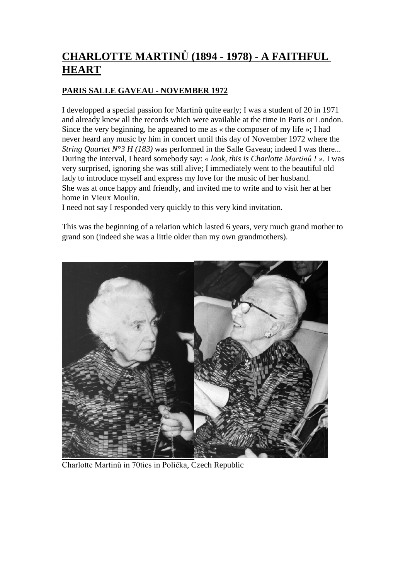# **CHARLOTTE MARTINŮ (1894 - 1978) - A FAITHFUL HEART**

## **PARIS SALLE GAVEAU - NOVEMBER 1972**

I developped a special passion for Martinů quite early; I was a student of 20 in 1971 and already knew all the records which were available at the time in Paris or London. Since the very beginning, he appeared to me as « the composer of my life »; I had never heard any music by him in concert until this day of November 1972 where the *String Quartet N°3 H (183)* was performed in the Salle Gaveau; indeed I was there... During the interval, I heard somebody say: *« look, this is Charlotte Martinů ! »*. I was very surprised, ignoring she was still alive; I immediately went to the beautiful old lady to introduce myself and express my love for the music of her husband. She was at once happy and friendly, and invited me to write and to visit her at her home in Vieux Moulin.

I need not say I responded very quickly to this very kind invitation.

This was the beginning of a relation which lasted 6 years, very much grand mother to grand son (indeed she was a little older than my own grandmothers).



Charlotte Martinů in 70ties in Polička, Czech Republic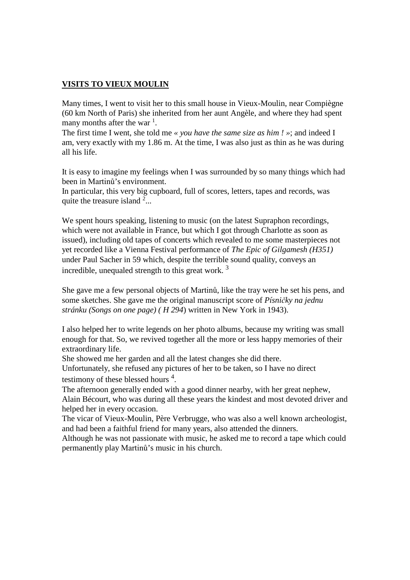#### **VISITS TO VIEUX MOULIN**

Many times, I went to visit her to this small house in Vieux-Moulin, near Compiègne (60 km North of Paris) she inherited from her aunt Angèle, and where they had spent many months after the war<sup>1</sup>.

The first time I went, she told me *« you have the same size as him ! »*; and indeed I am, very exactly with my 1.86 m. At the time, I was also just as thin as he was during all his life.

It is easy to imagine my feelings when I was surrounded by so many things which had been in Martinů's environment.

In particular, this very big cupboard, full of scores, letters, tapes and records, was quite the treasure island  $2\ldots$ 

We spent hours speaking, listening to music (on the latest Supraphon recordings, which were not available in France, but which I got through Charlotte as soon as issued), including old tapes of concerts which revealed to me some masterpieces not yet recorded like a Vienna Festival performance of *The Epic of Gilgamesh (H351)* under Paul Sacher in 59 which, despite the terrible sound quality, conveys an incredible, unequaled strength to this great work.  $3$ 

She gave me a few personal objects of Martinů, like the tray were he set his pens, and some sketches. She gave me the original manuscript score of *Písničky na jednu stránku (Songs on one page) ( H 294*) written in New York in 1943).

I also helped her to write legends on her photo albums, because my writing was small enough for that. So, we revived together all the more or less happy memories of their extraordinary life.

She showed me her garden and all the latest changes she did there.

Unfortunately, she refused any pictures of her to be taken, so I have no direct testimony of these blessed hours  $4$ .

The afternoon generally ended with a good dinner nearby, with her great nephew,

Alain Bécourt, who was during all these years the kindest and most devoted driver and helped her in every occasion.

The vicar of Vieux-Moulin, Père Verbrugge, who was also a well known archeologist, and had been a faithful friend for many years, also attended the dinners.

Although he was not passionate with music, he asked me to record a tape which could permanently play Martinů's music in his church.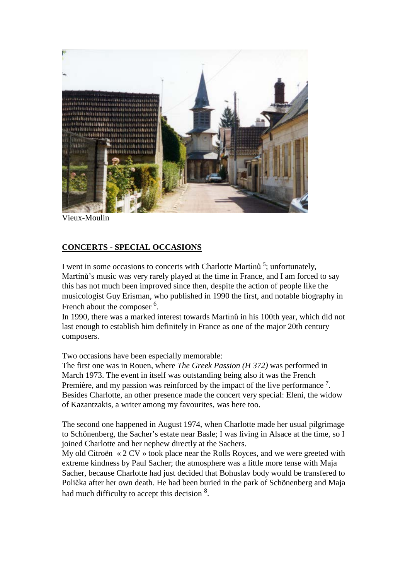

Vieux-Moulin

### **CONCERTS - SPECIAL OCCASIONS**

I went in some occasions to concerts with Charlotte Martinů<sup>5</sup>; unfortunately, Martinů's music was very rarely played at the time in France, and I am forced to say this has not much been improved since then, despite the action of people like the musicologist Guy Erisman, who published in 1990 the first, and notable biography in French about the composer <sup>6</sup>.

In 1990, there was a marked interest towards Martinů in his 100th year, which did not last enough to establish him definitely in France as one of the major 20th century composers.

Two occasions have been especially memorable:

The first one was in Rouen, where *The Greek Passion (H 372)* was performed in March 1973. The event in itself was outstanding being also it was the French Première, and my passion was reinforced by the impact of the live performance  $<sup>7</sup>$ .</sup> Besides Charlotte, an other presence made the concert very special: Eleni, the widow of Kazantzakis, a writer among my favourites, was here too.

The second one happened in August 1974, when Charlotte made her usual pilgrimage to Schönenberg, the Sacher's estate near Basle; I was living in Alsace at the time, so I joined Charlotte and her nephew directly at the Sachers.

My old Citroën « 2 CV » took place near the Rolls Royces, and we were greeted with extreme kindness by Paul Sacher; the atmosphere was a little more tense with Maja Sacher, because Charlotte had just decided that Bohuslav body would be transfered to Polička after her own death. He had been buried in the park of Schönenberg and Maja had much difficulty to accept this decision <sup>8</sup>.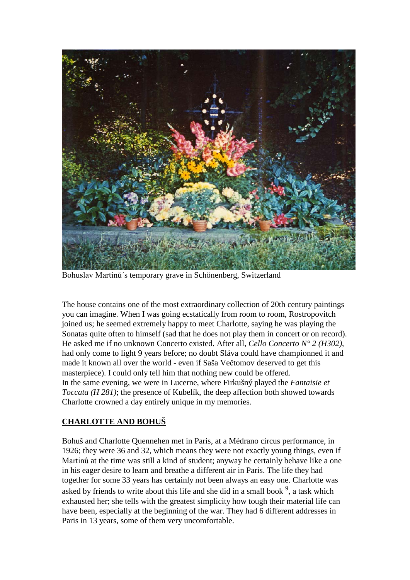

Bohuslav Martinů´s temporary grave in Schönenberg, Switzerland

The house contains one of the most extraordinary collection of 20th century paintings you can imagine. When I was going ecstatically from room to room, Rostropovitch joined us; he seemed extremely happy to meet Charlotte, saying he was playing the Sonatas quite often to himself (sad that he does not play them in concert or on record). He asked me if no unknown Concerto existed. After all, *Cello Concerto N° 2 (H302)*, had only come to light 9 years before; no doubt Sláva could have championned it and made it known all over the world - even if Saša Večtomov deserved to get this masterpiece). I could only tell him that nothing new could be offered. In the same evening, we were in Lucerne, where Firkušný played the *Fantaisie et Toccata (H 281)*; the presence of Kubelík, the deep affection both showed towards Charlotte crowned a day entirely unique in my memories.

#### **CHARLOTTE AND BOHUŠ**

Bohuš and Charlotte Quennehen met in Paris, at a Médrano circus performance, in 1926; they were 36 and 32, which means they were not exactly young things, even if Martinů at the time was still a kind of student; anyway he certainly behave like a one in his eager desire to learn and breathe a different air in Paris. The life they had together for some 33 years has certainly not been always an easy one. Charlotte was asked by friends to write about this life and she did in a small book  $9$ , a task which exhausted her; she tells with the greatest simplicity how tough their material life can have been, especially at the beginning of the war. They had 6 different addresses in Paris in 13 years, some of them very uncomfortable.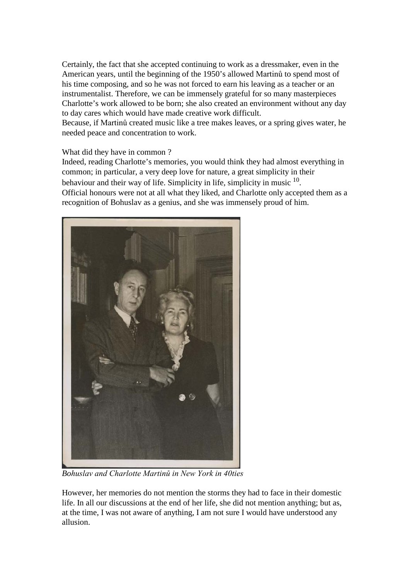Certainly, the fact that she accepted continuing to work as a dressmaker, even in the American years, until the beginning of the 1950's allowed Martinů to spend most of his time composing, and so he was not forced to earn his leaving as a teacher or an instrumentalist. Therefore, we can be immensely grateful for so many masterpieces Charlotte's work allowed to be born; she also created an environment without any day to day cares which would have made creative work difficult.

Because, if Martinů created music like a tree makes leaves, or a spring gives water, he needed peace and concentration to work.

#### What did they have in common ?

Indeed, reading Charlotte's memories, you would think they had almost everything in common; in particular, a very deep love for nature, a great simplicity in their behaviour and their way of life. Simplicity in life, simplicity in music <sup>10</sup>. Official honours were not at all what they liked, and Charlotte only accepted them as a recognition of Bohuslav as a genius, and she was immensely proud of him.



*Bohuslav and Charlotte Martinů in New York in 40ties*

However, her memories do not mention the storms they had to face in their domestic life. In all our discussions at the end of her life, she did not mention anything; but as, at the time, I was not aware of anything, I am not sure I would have understood any allusion.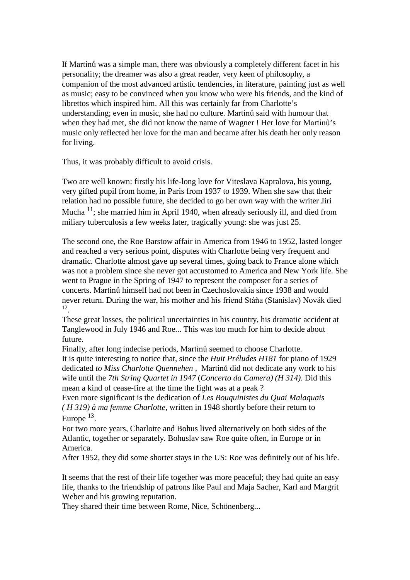If Martinů was a simple man, there was obviously a completely different facet in his personality; the dreamer was also a great reader, very keen of philosophy, a companion of the most advanced artistic tendencies, in literature, painting just as well as music; easy to be convinced when you know who were his friends, and the kind of librettos which inspired him. All this was certainly far from Charlotte's understanding; even in music, she had no culture. Martinů said with humour that when they had met, she did not know the name of Wagner ! Her love for Martinů's music only reflected her love for the man and became after his death her only reason for living.

Thus, it was probably difficult to avoid crisis.

Two are well known: firstly his life-long love for Viteslava Kapralova, his young, very gifted pupil from home, in Paris from 1937 to 1939. When she saw that their relation had no possible future, she decided to go her own way with the writer Jiri Mucha  $11$ ; she married him in April 1940, when already seriously ill, and died from miliary tuberculosis a few weeks later, tragically young: she was just 25.

The second one, the Roe Barstow affair in America from 1946 to 1952, lasted longer and reached a very serious point, disputes with Charlotte being very frequent and dramatic. Charlotte almost gave up several times, going back to France alone which was not a problem since she never got accustomed to America and New York life. She went to Prague in the Spring of 1947 to represent the composer for a series of concerts. Martinů himself had not been in Czechoslovakia since 1938 and would never return. During the war, his mother and his friend Stáňa (Stanislav) Novák died 12.

These great losses, the political uncertainties in his country, his dramatic accident at Tanglewood in July 1946 and Roe... This was too much for him to decide about future.

Finally, after long indecise periods, Martinů seemed to choose Charlotte. It is quite interesting to notice that, since the *Huit Préludes H181* for piano of 1929 dedicated *to Miss Charlotte Quennehen ,* Martinů did not dedicate any work to his wife until the *7th String Quartet in 1947* (*Concerto da Camera) (H 314)*. Did this mean a kind of cease-fire at the time the fight was at a peak ?

Even more significant is the dedication of *Les Bouquinistes du Quai Malaquais ( H 319) à ma femme Charlotte*, written in 1948 shortly before their return to Europe  $^{13}$ .

For two more years, Charlotte and Bohus lived alternatively on both sides of the Atlantic, together or separately. Bohuslav saw Roe quite often, in Europe or in America.

After 1952, they did some shorter stays in the US: Roe was definitely out of his life.

It seems that the rest of their life together was more peaceful; they had quite an easy life, thanks to the friendship of patrons like Paul and Maja Sacher, Karl and Margrit Weber and his growing reputation.

They shared their time between Rome, Nice, Schönenberg...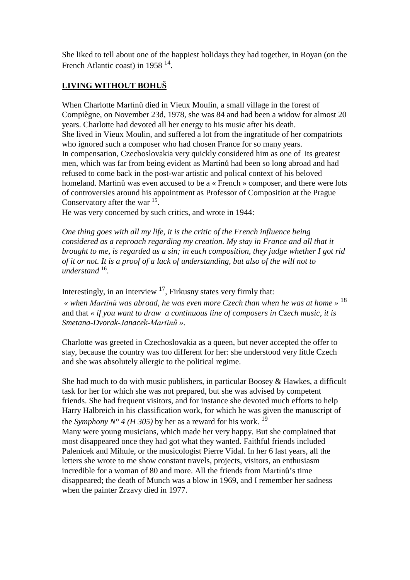She liked to tell about one of the happiest holidays they had together, in Royan (on the French Atlantic coast) in 1958 14.

# **LIVING WITHOUT BOHUŠ**

When Charlotte Martinů died in Vieux Moulin, a small village in the forest of Compiègne, on November 23d, 1978, she was 84 and had been a widow for almost 20 years. Charlotte had devoted all her energy to his music after his death. She lived in Vieux Moulin, and suffered a lot from the ingratitude of her compatriots who ignored such a composer who had chosen France for so many years. In compensation, Czechoslovakia very quickly considered him as one of its greatest men, which was far from being evident as Martinů had been so long abroad and had refused to come back in the post-war artistic and polical context of his beloved homeland. Martinů was even accused to be a « French » composer, and there were lots of controversies around his appointment as Professor of Composition at the Prague Conservatory after the war 15.

He was very concerned by such critics, and wrote in 1944:

*One thing goes with all my life, it is the critic of the French influence being considered as a reproach regarding my creation. My stay in France and all that it brought to me, is regarded as a sin; in each composition, they judge whether I got rid of it or not. It is a proof of a lack of understanding, but also of the will not to understand* 16.

Interestingly, in an interview  $17$ , Firkusny states very firmly that:

*« when Martinů was abroad, he was even more Czech than when he was at home »* <sup>18</sup> and that *« if you want to draw a continuous line of composers in Czech music, it is Smetana-Dvorak-Janacek-Martinů ».*

Charlotte was greeted in Czechoslovakia as a queen, but never accepted the offer to stay, because the country was too different for her: she understood very little Czech and she was absolutely allergic to the political regime.

She had much to do with music publishers, in particular Boosey & Hawkes, a difficult task for her for which she was not prepared, but she was advised by competent friends. She had frequent visitors, and for instance she devoted much efforts to help Harry Halbreich in his classification work, for which he was given the manuscript of the *Symphony N° 4 (H 305)* by her as a reward for his work.<sup>19</sup> Many were young musicians, which made her very happy. But she complained that most disappeared once they had got what they wanted. Faithful friends included Palenicek and Mihule, or the musicologist Pierre Vidal. In her 6 last years, all the letters she wrote to me show constant travels, projects, visitors, an enthusiasm incredible for a woman of 80 and more. All the friends from Martinů's time disappeared; the death of Munch was a blow in 1969, and I remember her sadness when the painter Zrzavy died in 1977.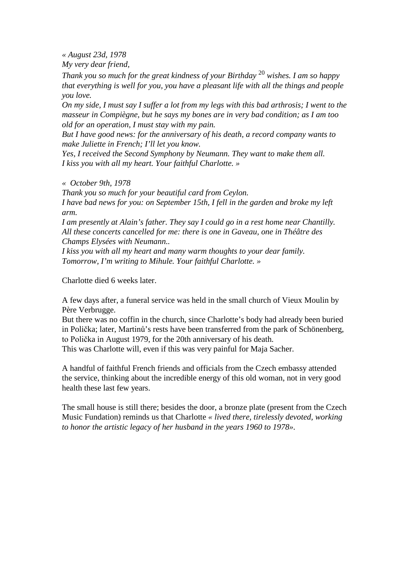*« August 23d, 1978*

*My very dear friend,*

*Thank you so much for the great kindness of your Birthday* <sup>20</sup> *wishes. I am so happy that everything is well for you, you have a pleasant life with all the things and people you love.*

*On my side, I must say I suffer a lot from my legs with this bad arthrosis; I went to the masseur in Compiègne, but he says my bones are in very bad condition; as I am too old for an operation, I must stay with my pain.*

*But I have good news: for the anniversary of his death, a record company wants to make Juliette in French; I'll let you know.*

*Yes, I received the Second Symphony by Neumann. They want to make them all. I kiss you with all my heart. Your faithful Charlotte. »*

*« October 9th, 1978*

*Thank you so much for your beautiful card from Ceylon. I have bad news for you: on September 15th, I fell in the garden and broke my left arm.*

*I am presently at Alain's father. They say I could go in a rest home near Chantilly. All these concerts cancelled for me: there is one in Gaveau, one in Théâtre des Champs Elysées with Neumann..*

*I kiss you with all my heart and many warm thoughts to your dear family. Tomorrow, I'm writing to Mihule. Your faithful Charlotte. »* 

Charlotte died 6 weeks later.

A few days after, a funeral service was held in the small church of Vieux Moulin by Père Verbrugge.

But there was no coffin in the church, since Charlotte's body had already been buried in Polička; later, Martinů's rests have been transferred from the park of Schönenberg, to Polička in August 1979, for the 20th anniversary of his death.

This was Charlotte will, even if this was very painful for Maja Sacher.

A handful of faithful French friends and officials from the Czech embassy attended the service, thinking about the incredible energy of this old woman, not in very good health these last few years.

The small house is still there; besides the door, a bronze plate (present from the Czech Music Fundation) reminds us that Charlotte *« lived there, tirelessly devoted, working to honor the artistic legacy of her husband in the years 1960 to 1978».*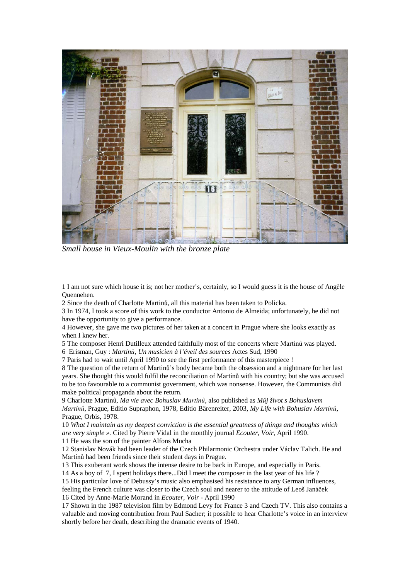

*Small house in Vieux-Moulin with the bronze plate*

1 I am not sure which house it is; not her mother's, certainly, so I would guess it is the house of Angèle Quennehen.

2 Since the death of Charlotte Martinů, all this material has been taken to Policka.

3 In 1974, I took a score of this work to the conductor Antonio de Almeida; unfortunately, he did not have the opportunity to give a performance.

4 However, she gave me two pictures of her taken at a concert in Prague where she looks exactly as when I knew her.

5 The composer Henri Dutilleux attended faithfully most of the concerts where Martinů was played.

6 Erisman, Guy : *Martinů, Un musicien à l'éveil des sources* Actes Sud, 1990

7 Paris had to wait until April 1990 to see the first performance of this masterpiece !

8 The question of the return of Martinů's body became both the obsession and a nightmare for her last years. She thought this would fulfil the reconciliation of Martinů with his country; but she was accused to be too favourable to a communist government, which was nonsense. However, the Communists did make political propaganda about the return.

9 Charlotte Martinů, *Ma vie avec Bohuslav Martinů*, also published as *Můj život s Bohuslavem Martinů*, Prague, Editio Supraphon, 1978, Editio Bärenreiter, 2003, *My Life with Bohuslav Martinů*, Prague, Orbis, 1978.

10 *What I maintain as my deepest conviction is the essential greatness of things and thoughts which are very simple ».* Cited by Pierre Vidal in the monthly journal *Ecouter, Voir*, April 1990.

11 He was the son of the painter Alfons Mucha

12 Stanislav Novák had been leader of the Czech Philarmonic Orchestra under Václav Talich. He and Martinů had been friends since their student days in Prague.

13 This exuberant work shows the intense desire to be back in Europe, and especially in Paris.

14 As a boy of 7, I spent holidays there...Did I meet the composer in the last year of his life ?

15 His particular love of Debussy's music also emphasised his resistance to any German influences,

feeling the French culture was closer to the Czech soul and nearer to the attitude of Leoš Janáček 16 Cited by Anne-Marie Morand in *Ecouter, Voir* - April 1990

17 Shown in the 1987 television film by Edmond Levy for France 3 and Czech TV. This also contains a valuable and moving contribution from Paul Sacher; it possible to hear Charlotte's voice in an interview shortly before her death, describing the dramatic events of 1940.